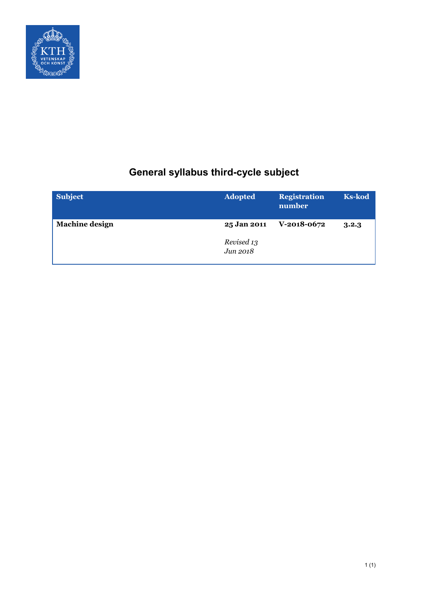

# **General syllabus third-cycle subject**

| <b>Subject</b>        | <b>Adopted</b>         | <b>Registration</b><br>number | <b>Ks-kod</b> |
|-----------------------|------------------------|-------------------------------|---------------|
| <b>Machine design</b> | 25 Jan 2011            | V-2018-0672                   | 3.2.3         |
|                       | Revised 13<br>Jun 2018 |                               |               |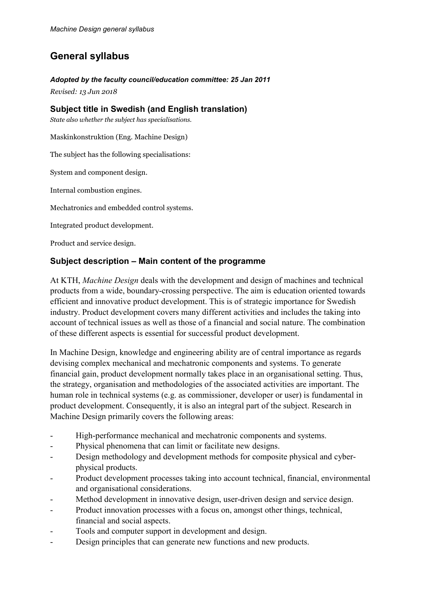## **General syllabus**

## *Adopted by the faculty council/education committee: 25 Jan 2011*

*Revised: 13 Jun 2018*

## **Subject title in Swedish (and English translation)**

*State also whether the subject has specialisations.*

Maskinkonstruktion (Eng. Machine Design)

The subject has the following specialisations:

System and component design.

Internal combustion engines.

Mechatronics and embedded control systems.

Integrated product development.

Product and service design.

## **Subject description – Main content of the programme**

At KTH, *Machine Design* deals with the development and design of machines and technical products from a wide, boundary-crossing perspective. The aim is education oriented towards efficient and innovative product development. This is of strategic importance for Swedish industry. Product development covers many different activities and includes the taking into account of technical issues as well as those of a financial and social nature. The combination of these different aspects is essential for successful product development.

In Machine Design, knowledge and engineering ability are of central importance as regards devising complex mechanical and mechatronic components and systems. To generate financial gain, product development normally takes place in an organisational setting. Thus, the strategy, organisation and methodologies of the associated activities are important. The human role in technical systems (e.g. as commissioner, developer or user) is fundamental in product development. Consequently, it is also an integral part of the subject. Research in Machine Design primarily covers the following areas:

- High-performance mechanical and mechatronic components and systems.
- Physical phenomena that can limit or facilitate new designs.
- Design methodology and development methods for composite physical and cyberphysical products.
- Product development processes taking into account technical, financial, environmental and organisational considerations.
- Method development in innovative design, user-driven design and service design.
- Product innovation processes with a focus on, amongst other things, technical, financial and social aspects.
- Tools and computer support in development and design.
- Design principles that can generate new functions and new products.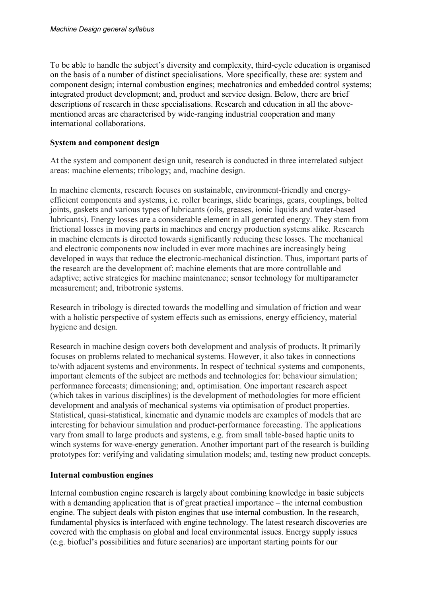To be able to handle the subject's diversity and complexity, third-cycle education is organised on the basis of a number of distinct specialisations. More specifically, these are: system and component design; internal combustion engines; mechatronics and embedded control systems; integrated product development; and, product and service design. Below, there are brief descriptions of research in these specialisations. Research and education in all the abovementioned areas are characterised by wide-ranging industrial cooperation and many international collaborations.

#### **System and component design**

At the system and component design unit, research is conducted in three interrelated subject areas: machine elements; tribology; and, machine design.

In machine elements, research focuses on sustainable, environment-friendly and energyefficient components and systems, i.e. roller bearings, slide bearings, gears, couplings, bolted joints, gaskets and various types of lubricants (oils, greases, ionic liquids and water-based lubricants). Energy losses are a considerable element in all generated energy. They stem from frictional losses in moving parts in machines and energy production systems alike. Research in machine elements is directed towards significantly reducing these losses. The mechanical and electronic components now included in ever more machines are increasingly being developed in ways that reduce the electronic-mechanical distinction. Thus, important parts of the research are the development of: machine elements that are more controllable and adaptive; active strategies for machine maintenance; sensor technology for multiparameter measurement; and, tribotronic systems.

Research in tribology is directed towards the modelling and simulation of friction and wear with a holistic perspective of system effects such as emissions, energy efficiency, material hygiene and design.

Research in machine design covers both development and analysis of products. It primarily focuses on problems related to mechanical systems. However, it also takes in connections to/with adjacent systems and environments. In respect of technical systems and components, important elements of the subject are methods and technologies for: behaviour simulation; performance forecasts; dimensioning; and, optimisation. One important research aspect (which takes in various disciplines) is the development of methodologies for more efficient development and analysis of mechanical systems via optimisation of product properties. Statistical, quasi-statistical, kinematic and dynamic models are examples of models that are interesting for behaviour simulation and product-performance forecasting. The applications vary from small to large products and systems, e.g. from small table-based haptic units to winch systems for wave-energy generation. Another important part of the research is building prototypes for: verifying and validating simulation models; and, testing new product concepts.

#### **Internal combustion engines**

Internal combustion engine research is largely about combining knowledge in basic subjects with a demanding application that is of great practical importance – the internal combustion engine. The subject deals with piston engines that use internal combustion. In the research, fundamental physics is interfaced with engine technology. The latest research discoveries are covered with the emphasis on global and local environmental issues. Energy supply issues (e.g. biofuel's possibilities and future scenarios) are important starting points for our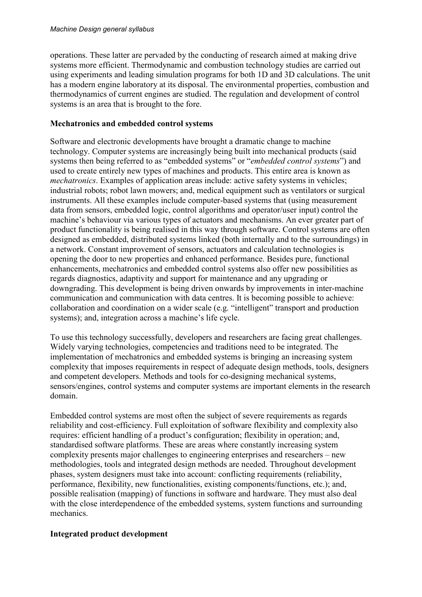operations. These latter are pervaded by the conducting of research aimed at making drive systems more efficient. Thermodynamic and combustion technology studies are carried out using experiments and leading simulation programs for both 1D and 3D calculations. The unit has a modern engine laboratory at its disposal. The environmental properties, combustion and thermodynamics of current engines are studied. The regulation and development of control systems is an area that is brought to the fore.

#### **Mechatronics and embedded control systems**

Software and electronic developments have brought a dramatic change to machine technology. Computer systems are increasingly being built into mechanical products (said systems then being referred to as "embedded systems" or "*embedded control systems*") and used to create entirely new types of machines and products. This entire area is known as *mechatronics*. Examples of application areas include: active safety systems in vehicles; industrial robots; robot lawn mowers; and, medical equipment such as ventilators or surgical instruments. All these examples include computer-based systems that (using measurement data from sensors, embedded logic, control algorithms and operator/user input) control the machine's behaviour via various types of actuators and mechanisms. An ever greater part of product functionality is being realised in this way through software. Control systems are often designed as embedded, distributed systems linked (both internally and to the surroundings) in a network. Constant improvement of sensors, actuators and calculation technologies is opening the door to new properties and enhanced performance. Besides pure, functional enhancements, mechatronics and embedded control systems also offer new possibilities as regards diagnostics, adaptivity and support for maintenance and any upgrading or downgrading. This development is being driven onwards by improvements in inter-machine communication and communication with data centres. It is becoming possible to achieve: collaboration and coordination on a wider scale (e.g. "intelligent" transport and production systems); and, integration across a machine's life cycle.

To use this technology successfully, developers and researchers are facing great challenges. Widely varying technologies, competencies and traditions need to be integrated. The implementation of mechatronics and embedded systems is bringing an increasing system complexity that imposes requirements in respect of adequate design methods, tools, designers and competent developers. Methods and tools for co-designing mechanical systems, sensors/engines, control systems and computer systems are important elements in the research domain.

Embedded control systems are most often the subject of severe requirements as regards reliability and cost-efficiency. Full exploitation of software flexibility and complexity also requires: efficient handling of a product's configuration; flexibility in operation; and, standardised software platforms. These are areas where constantly increasing system complexity presents major challenges to engineering enterprises and researchers – new methodologies, tools and integrated design methods are needed. Throughout development phases, system designers must take into account: conflicting requirements (reliability, performance, flexibility, new functionalities, existing components/functions, etc.); and, possible realisation (mapping) of functions in software and hardware. They must also deal with the close interdependence of the embedded systems, system functions and surrounding mechanics.

#### **Integrated product development**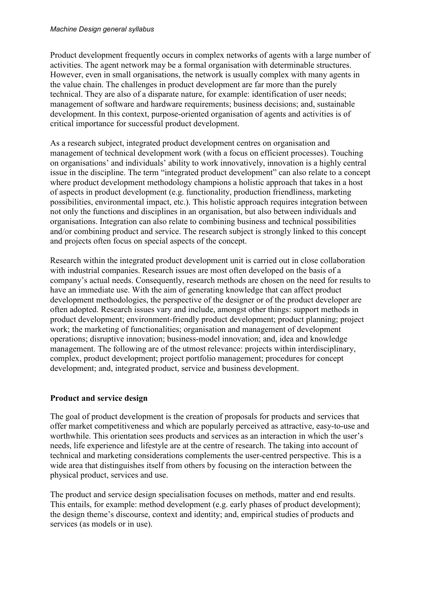#### *Machine Design general syllabus*

Product development frequently occurs in complex networks of agents with a large number of activities. The agent network may be a formal organisation with determinable structures. However, even in small organisations, the network is usually complex with many agents in the value chain. The challenges in product development are far more than the purely technical. They are also of a disparate nature, for example: identification of user needs; management of software and hardware requirements; business decisions; and, sustainable development. In this context, purpose-oriented organisation of agents and activities is of critical importance for successful product development.

As a research subject, integrated product development centres on organisation and management of technical development work (with a focus on efficient processes). Touching on organisations' and individuals' ability to work innovatively, innovation is a highly central issue in the discipline. The term "integrated product development" can also relate to a concept where product development methodology champions a holistic approach that takes in a host of aspects in product development (e.g. functionality, production friendliness, marketing possibilities, environmental impact, etc.). This holistic approach requires integration between not only the functions and disciplines in an organisation, but also between individuals and organisations. Integration can also relate to combining business and technical possibilities and/or combining product and service. The research subject is strongly linked to this concept and projects often focus on special aspects of the concept.

Research within the integrated product development unit is carried out in close collaboration with industrial companies. Research issues are most often developed on the basis of a company's actual needs. Consequently, research methods are chosen on the need for results to have an immediate use. With the aim of generating knowledge that can affect product development methodologies, the perspective of the designer or of the product developer are often adopted. Research issues vary and include, amongst other things: support methods in product development; environment-friendly product development; product planning; project work; the marketing of functionalities; organisation and management of development operations; disruptive innovation; business-model innovation; and, idea and knowledge management. The following are of the utmost relevance: projects within interdisciplinary, complex, product development; project portfolio management; procedures for concept development; and, integrated product, service and business development.

#### **Product and service design**

The goal of product development is the creation of proposals for products and services that offer market competitiveness and which are popularly perceived as attractive, easy-to-use and worthwhile. This orientation sees products and services as an interaction in which the user's needs, life experience and lifestyle are at the centre of research. The taking into account of technical and marketing considerations complements the user-centred perspective. This is a wide area that distinguishes itself from others by focusing on the interaction between the physical product, services and use.

The product and service design specialisation focuses on methods, matter and end results. This entails, for example: method development (e.g. early phases of product development); the design theme's discourse, context and identity; and, empirical studies of products and services (as models or in use).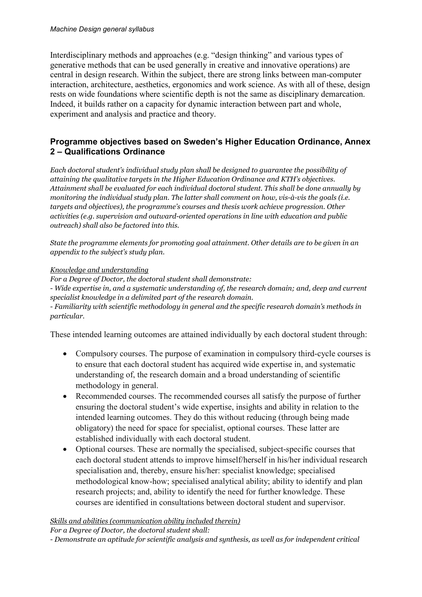#### *Machine Design general syllabus*

Interdisciplinary methods and approaches (e.g. "design thinking" and various types of generative methods that can be used generally in creative and innovative operations) are central in design research. Within the subject, there are strong links between man-computer interaction, architecture, aesthetics, ergonomics and work science. As with all of these, design rests on wide foundations where scientific depth is not the same as disciplinary demarcation. Indeed, it builds rather on a capacity for dynamic interaction between part and whole, experiment and analysis and practice and theory.

#### **Programme objectives based on Sweden's Higher Education Ordinance, Annex 2 – Qualifications Ordinance**

*Each doctoral student's individual study plan shall be designed to guarantee the possibility of attaining the qualitative targets in the Higher Education Ordinance and KTH's objectives. Attainment shall be evaluated for each individual doctoral student. This shall be done annually by monitoring the individual study plan. The latter shall comment on how, vis-à-vis the goals (i.e. targets and objectives), the programme's courses and thesis work achieve progression. Other activities (e.g. supervision and outward-oriented operations in line with education and public outreach) shall also be factored into this.*

*State the programme elements for promoting goal attainment. Other details are to be given in an appendix to the subject's study plan.*

#### *Knowledge and understanding*

*For a Degree of Doctor, the doctoral student shall demonstrate: - Wide expertise in, and a systematic understanding of, the research domain; and, deep and current specialist knowledge in a delimited part of the research domain. - Familiarity with scientific methodology in general and the specific research domain's methods in particular.*

These intended learning outcomes are attained individually by each doctoral student through:

- Compulsory courses. The purpose of examination in compulsory third-cycle courses is to ensure that each doctoral student has acquired wide expertise in, and systematic understanding of, the research domain and a broad understanding of scientific methodology in general.
- Recommended courses. The recommended courses all satisfy the purpose of further ensuring the doctoral student's wide expertise, insights and ability in relation to the intended learning outcomes. They do this without reducing (through being made obligatory) the need for space for specialist, optional courses. These latter are established individually with each doctoral student.
- Optional courses. These are normally the specialised, subject-specific courses that each doctoral student attends to improve himself/herself in his/her individual research specialisation and, thereby, ensure his/her: specialist knowledge; specialised methodological know-how; specialised analytical ability; ability to identify and plan research projects; and, ability to identify the need for further knowledge. These courses are identified in consultations between doctoral student and supervisor.

#### *Skills and abilities (communication ability included therein)*

*For a Degree of Doctor, the doctoral student shall:*

*<sup>-</sup> Demonstrate an aptitude for scientific analysis and synthesis, as well as for independent critical*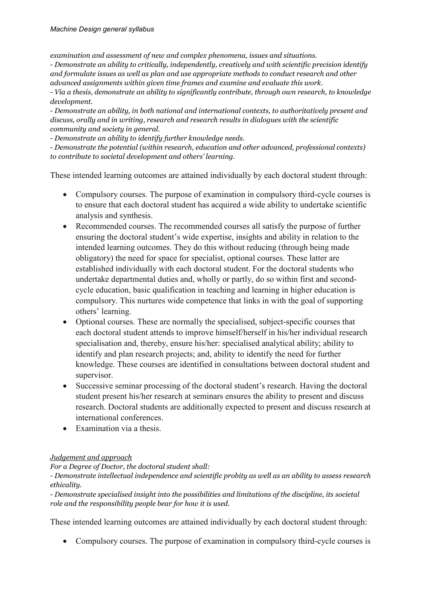*examination and assessment of new and complex phenomena, issues and situations.*

*- Demonstrate an ability to critically, independently, creatively and with scientific precision identify and formulate issues as well as plan and use appropriate methods to conduct research and other advanced assignments within given time frames and examine and evaluate this work.*

*- Via a thesis, demonstrate an ability to significantly contribute, through own research, to knowledge development.*

*- Demonstrate an ability, in both national and international contexts, to authoritatively present and discuss, orally and in writing, research and research results in dialogues with the scientific community and society in general.*

*- Demonstrate an ability to identify further knowledge needs.*

*- Demonstrate the potential (within research, education and other advanced, professional contexts) to contribute to societal development and others' learning.*

These intended learning outcomes are attained individually by each doctoral student through:

- Compulsory courses. The purpose of examination in compulsory third-cycle courses is to ensure that each doctoral student has acquired a wide ability to undertake scientific analysis and synthesis.
- Recommended courses. The recommended courses all satisfy the purpose of further ensuring the doctoral student's wide expertise, insights and ability in relation to the intended learning outcomes. They do this without reducing (through being made obligatory) the need for space for specialist, optional courses. These latter are established individually with each doctoral student. For the doctoral students who undertake departmental duties and, wholly or partly, do so within first and secondcycle education, basic qualification in teaching and learning in higher education is compulsory. This nurtures wide competence that links in with the goal of supporting others' learning.
- Optional courses. These are normally the specialised, subject-specific courses that each doctoral student attends to improve himself/herself in his/her individual research specialisation and, thereby, ensure his/her: specialised analytical ability; ability to identify and plan research projects; and, ability to identify the need for further knowledge. These courses are identified in consultations between doctoral student and supervisor.
- Successive seminar processing of the doctoral student's research. Having the doctoral student present his/her research at seminars ensures the ability to present and discuss research. Doctoral students are additionally expected to present and discuss research at international conferences.
- Examination via a thesis.

#### *Judgement and approach*

*For a Degree of Doctor, the doctoral student shall:*

*- Demonstrate intellectual independence and scientific probity as well as an ability to assess research ethicality.*

*- Demonstrate specialised insight into the possibilities and limitations of the discipline, its societal role and the responsibility people bear for how it is used.*

These intended learning outcomes are attained individually by each doctoral student through:

• Compulsory courses. The purpose of examination in compulsory third-cycle courses is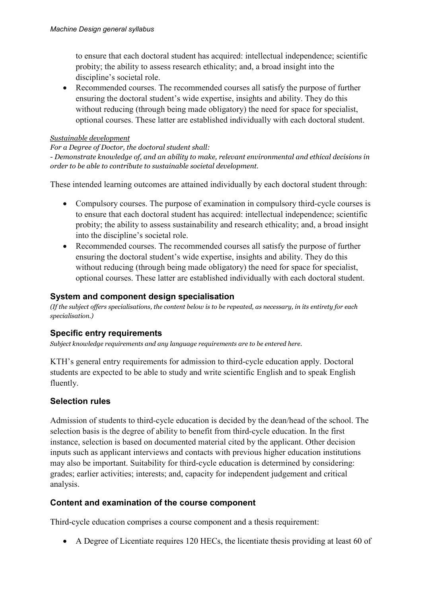to ensure that each doctoral student has acquired: intellectual independence; scientific probity; the ability to assess research ethicality; and, a broad insight into the discipline's societal role.

• Recommended courses. The recommended courses all satisfy the purpose of further ensuring the doctoral student's wide expertise, insights and ability. They do this without reducing (through being made obligatory) the need for space for specialist, optional courses. These latter are established individually with each doctoral student.

#### *Sustainable development*

#### *For a Degree of Doctor, the doctoral student shall:*

*- Demonstrate knowledge of, and an ability to make, relevant environmental and ethical decisions in order to be able to contribute to sustainable societal development.*

These intended learning outcomes are attained individually by each doctoral student through:

- Compulsory courses. The purpose of examination in compulsory third-cycle courses is to ensure that each doctoral student has acquired: intellectual independence; scientific probity; the ability to assess sustainability and research ethicality; and, a broad insight into the discipline's societal role.
- Recommended courses. The recommended courses all satisfy the purpose of further ensuring the doctoral student's wide expertise, insights and ability. They do this without reducing (through being made obligatory) the need for space for specialist, optional courses. These latter are established individually with each doctoral student.

#### **System and component design specialisation**

*(If the subject offers specialisations, the content below is to be repeated, as necessary, in its entirety for each specialisation.)*

## **Specific entry requirements**

*Subject knowledge requirements and any language requirements are to be entered here.*

KTH's general entry requirements for admission to third-cycle education apply. Doctoral students are expected to be able to study and write scientific English and to speak English fluently.

## **Selection rules**

Admission of students to third-cycle education is decided by the dean/head of the school. The selection basis is the degree of ability to benefit from third-cycle education. In the first instance, selection is based on documented material cited by the applicant. Other decision inputs such as applicant interviews and contacts with previous higher education institutions may also be important. Suitability for third-cycle education is determined by considering: grades; earlier activities; interests; and, capacity for independent judgement and critical analysis.

## **Content and examination of the course component**

Third-cycle education comprises a course component and a thesis requirement:

• A Degree of Licentiate requires 120 HECs, the licentiate thesis providing at least 60 of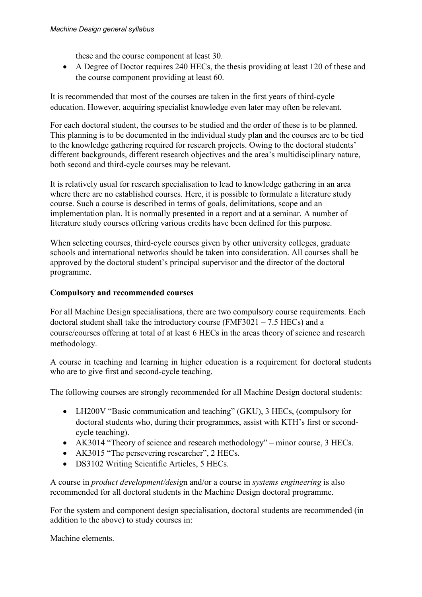these and the course component at least 30.

• A Degree of Doctor requires 240 HECs, the thesis providing at least 120 of these and the course component providing at least 60.

It is recommended that most of the courses are taken in the first years of third-cycle education. However, acquiring specialist knowledge even later may often be relevant.

For each doctoral student, the courses to be studied and the order of these is to be planned. This planning is to be documented in the individual study plan and the courses are to be tied to the knowledge gathering required for research projects. Owing to the doctoral students' different backgrounds, different research objectives and the area's multidisciplinary nature, both second and third-cycle courses may be relevant.

It is relatively usual for research specialisation to lead to knowledge gathering in an area where there are no established courses. Here, it is possible to formulate a literature study course. Such a course is described in terms of goals, delimitations, scope and an implementation plan. It is normally presented in a report and at a seminar. A number of literature study courses offering various credits have been defined for this purpose.

When selecting courses, third-cycle courses given by other university colleges, graduate schools and international networks should be taken into consideration. All courses shall be approved by the doctoral student's principal supervisor and the director of the doctoral programme.

#### **Compulsory and recommended courses**

For all Machine Design specialisations, there are two compulsory course requirements. Each doctoral student shall take the introductory course (FMF3021 – 7.5 HECs) and a course/courses offering at total of at least 6 HECs in the areas theory of science and research methodology.

A course in teaching and learning in higher education is a requirement for doctoral students who are to give first and second-cycle teaching.

The following courses are strongly recommended for all Machine Design doctoral students:

- LH200V "Basic communication and teaching" (GKU), 3 HECs, (compulsory for doctoral students who, during their programmes, assist with KTH's first or secondcycle teaching).
- AK3014 "Theory of science and research methodology" minor course, 3 HECs.
- AK3015 "The persevering researcher", 2 HECs.
- DS3102 Writing Scientific Articles, 5 HECs.

A course in *product development/desig*n and/or a course in *systems engineering* is also recommended for all doctoral students in the Machine Design doctoral programme.

For the system and component design specialisation, doctoral students are recommended (in addition to the above) to study courses in:

Machine elements.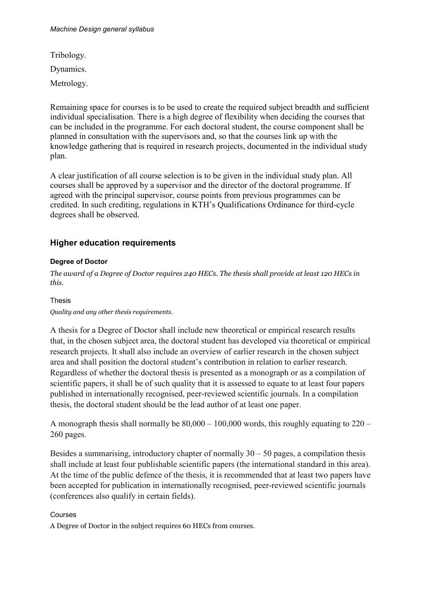Tribology. Dynamics.

Metrology.

Remaining space for courses is to be used to create the required subject breadth and sufficient individual specialisation. There is a high degree of flexibility when deciding the courses that can be included in the programme. For each doctoral student, the course component shall be planned in consultation with the supervisors and, so that the courses link up with the knowledge gathering that is required in research projects, documented in the individual study plan.

A clear justification of all course selection is to be given in the individual study plan. All courses shall be approved by a supervisor and the director of the doctoral programme. If agreed with the principal supervisor, course points from previous programmes can be credited. In such crediting, regulations in KTH's Qualifications Ordinance for third-cycle degrees shall be observed.

#### **Higher education requirements**

#### **Degree of Doctor**

*The award of a Degree of Doctor requires 240 HECs. The thesis shall provide at least 120 HECs in this.*

#### Thesis

*Quality and any other thesis requirements.*

A thesis for a Degree of Doctor shall include new theoretical or empirical research results that, in the chosen subject area, the doctoral student has developed via theoretical or empirical research projects. It shall also include an overview of earlier research in the chosen subject area and shall position the doctoral student's contribution in relation to earlier research. Regardless of whether the doctoral thesis is presented as a monograph or as a compilation of scientific papers, it shall be of such quality that it is assessed to equate to at least four papers published in internationally recognised, peer-reviewed scientific journals. In a compilation thesis, the doctoral student should be the lead author of at least one paper.

A monograph thesis shall normally be  $80,000 - 100,000$  words, this roughly equating to  $220 -$ 260 pages.

Besides a summarising, introductory chapter of normally  $30 - 50$  pages, a compilation thesis shall include at least four publishable scientific papers (the international standard in this area). At the time of the public defence of the thesis, it is recommended that at least two papers have been accepted for publication in internationally recognised, peer-reviewed scientific journals (conferences also qualify in certain fields).

#### Courses

A Degree of Doctor in the subject requires 60 HECs from courses.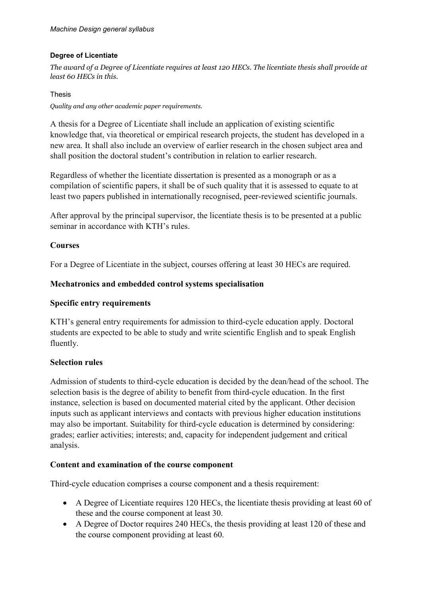#### **Degree of Licentiate**

*The award of a Degree of Licentiate requires at least 120 HECs. The licentiate thesis shall provide at least 60 HECs in this.*

#### Thesis

*Quality and any other academic paper requirements.*

A thesis for a Degree of Licentiate shall include an application of existing scientific knowledge that, via theoretical or empirical research projects, the student has developed in a new area. It shall also include an overview of earlier research in the chosen subject area and shall position the doctoral student's contribution in relation to earlier research.

Regardless of whether the licentiate dissertation is presented as a monograph or as a compilation of scientific papers, it shall be of such quality that it is assessed to equate to at least two papers published in internationally recognised, peer-reviewed scientific journals.

After approval by the principal supervisor, the licentiate thesis is to be presented at a public seminar in accordance with KTH's rules.

#### **Courses**

For a Degree of Licentiate in the subject, courses offering at least 30 HECs are required.

#### **Mechatronics and embedded control systems specialisation**

#### **Specific entry requirements**

KTH's general entry requirements for admission to third-cycle education apply. Doctoral students are expected to be able to study and write scientific English and to speak English fluently.

#### **Selection rules**

Admission of students to third-cycle education is decided by the dean/head of the school. The selection basis is the degree of ability to benefit from third-cycle education. In the first instance, selection is based on documented material cited by the applicant. Other decision inputs such as applicant interviews and contacts with previous higher education institutions may also be important. Suitability for third-cycle education is determined by considering: grades; earlier activities; interests; and, capacity for independent judgement and critical analysis.

## **Content and examination of the course component**

Third-cycle education comprises a course component and a thesis requirement:

- A Degree of Licentiate requires 120 HECs, the licentiate thesis providing at least 60 of these and the course component at least 30.
- A Degree of Doctor requires 240 HECs, the thesis providing at least 120 of these and the course component providing at least 60.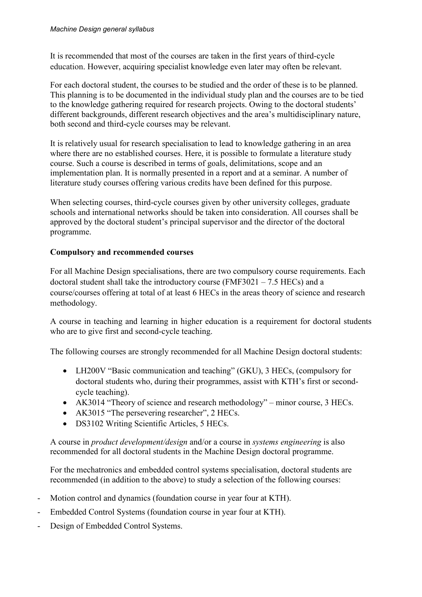It is recommended that most of the courses are taken in the first years of third-cycle education. However, acquiring specialist knowledge even later may often be relevant.

For each doctoral student, the courses to be studied and the order of these is to be planned. This planning is to be documented in the individual study plan and the courses are to be tied to the knowledge gathering required for research projects. Owing to the doctoral students' different backgrounds, different research objectives and the area's multidisciplinary nature, both second and third-cycle courses may be relevant.

It is relatively usual for research specialisation to lead to knowledge gathering in an area where there are no established courses. Here, it is possible to formulate a literature study course. Such a course is described in terms of goals, delimitations, scope and an implementation plan. It is normally presented in a report and at a seminar. A number of literature study courses offering various credits have been defined for this purpose.

When selecting courses, third-cycle courses given by other university colleges, graduate schools and international networks should be taken into consideration. All courses shall be approved by the doctoral student's principal supervisor and the director of the doctoral programme.

## **Compulsory and recommended courses**

For all Machine Design specialisations, there are two compulsory course requirements. Each doctoral student shall take the introductory course (FMF3021 – 7.5 HECs) and a course/courses offering at total of at least 6 HECs in the areas theory of science and research methodology.

A course in teaching and learning in higher education is a requirement for doctoral students who are to give first and second-cycle teaching.

The following courses are strongly recommended for all Machine Design doctoral students:

- LH200V "Basic communication and teaching" (GKU), 3 HECs, (compulsory for doctoral students who, during their programmes, assist with KTH's first or secondcycle teaching).
- AK3014 "Theory of science and research methodology" minor course, 3 HECs.
- AK3015 "The persevering researcher", 2 HECs.
- DS3102 Writing Scientific Articles, 5 HECs.

A course in *product development/design* and/or a course in *systems engineering* is also recommended for all doctoral students in the Machine Design doctoral programme.

For the mechatronics and embedded control systems specialisation, doctoral students are recommended (in addition to the above) to study a selection of the following courses:

- Motion control and dynamics (foundation course in year four at KTH).
- Embedded Control Systems (foundation course in year four at KTH).
- Design of Embedded Control Systems.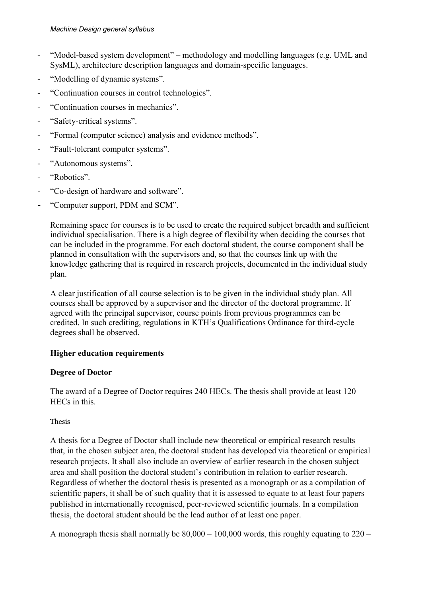- "Model-based system development" methodology and modelling languages (e.g. UML and SysML), architecture description languages and domain-specific languages.
- "Modelling of dynamic systems".
- "Continuation courses in control technologies".
- "Continuation courses in mechanics".
- "Safety-critical systems".
- "Formal (computer science) analysis and evidence methods".
- "Fault-tolerant computer systems".
- "Autonomous systems".
- "Robotics".
- "Co-design of hardware and software".
- "Computer support, PDM and SCM".

Remaining space for courses is to be used to create the required subject breadth and sufficient individual specialisation. There is a high degree of flexibility when deciding the courses that can be included in the programme. For each doctoral student, the course component shall be planned in consultation with the supervisors and, so that the courses link up with the knowledge gathering that is required in research projects, documented in the individual study plan.

A clear justification of all course selection is to be given in the individual study plan. All courses shall be approved by a supervisor and the director of the doctoral programme. If agreed with the principal supervisor, course points from previous programmes can be credited. In such crediting, regulations in KTH's Qualifications Ordinance for third-cycle degrees shall be observed.

## **Higher education requirements**

## **Degree of Doctor**

The award of a Degree of Doctor requires 240 HECs. The thesis shall provide at least 120 HECs in this.

## Thesis

A thesis for a Degree of Doctor shall include new theoretical or empirical research results that, in the chosen subject area, the doctoral student has developed via theoretical or empirical research projects. It shall also include an overview of earlier research in the chosen subject area and shall position the doctoral student's contribution in relation to earlier research. Regardless of whether the doctoral thesis is presented as a monograph or as a compilation of scientific papers, it shall be of such quality that it is assessed to equate to at least four papers published in internationally recognised, peer-reviewed scientific journals. In a compilation thesis, the doctoral student should be the lead author of at least one paper.

A monograph thesis shall normally be  $80,000 - 100,000$  words, this roughly equating to  $220 -$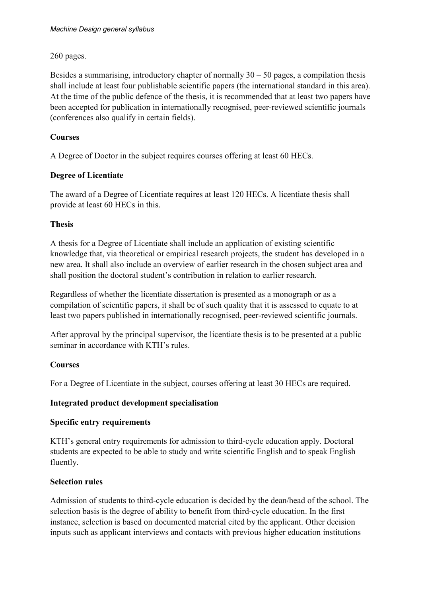260 pages.

Besides a summarising, introductory chapter of normally  $30 - 50$  pages, a compilation thesis shall include at least four publishable scientific papers (the international standard in this area). At the time of the public defence of the thesis, it is recommended that at least two papers have been accepted for publication in internationally recognised, peer-reviewed scientific journals (conferences also qualify in certain fields).

## **Courses**

A Degree of Doctor in the subject requires courses offering at least 60 HECs.

## **Degree of Licentiate**

The award of a Degree of Licentiate requires at least 120 HECs. A licentiate thesis shall provide at least 60 HECs in this.

## **Thesis**

A thesis for a Degree of Licentiate shall include an application of existing scientific knowledge that, via theoretical or empirical research projects, the student has developed in a new area. It shall also include an overview of earlier research in the chosen subject area and shall position the doctoral student's contribution in relation to earlier research.

Regardless of whether the licentiate dissertation is presented as a monograph or as a compilation of scientific papers, it shall be of such quality that it is assessed to equate to at least two papers published in internationally recognised, peer-reviewed scientific journals.

After approval by the principal supervisor, the licentiate thesis is to be presented at a public seminar in accordance with KTH's rules.

## **Courses**

For a Degree of Licentiate in the subject, courses offering at least 30 HECs are required.

## **Integrated product development specialisation**

## **Specific entry requirements**

KTH's general entry requirements for admission to third-cycle education apply. Doctoral students are expected to be able to study and write scientific English and to speak English fluently.

## **Selection rules**

Admission of students to third-cycle education is decided by the dean/head of the school. The selection basis is the degree of ability to benefit from third-cycle education. In the first instance, selection is based on documented material cited by the applicant. Other decision inputs such as applicant interviews and contacts with previous higher education institutions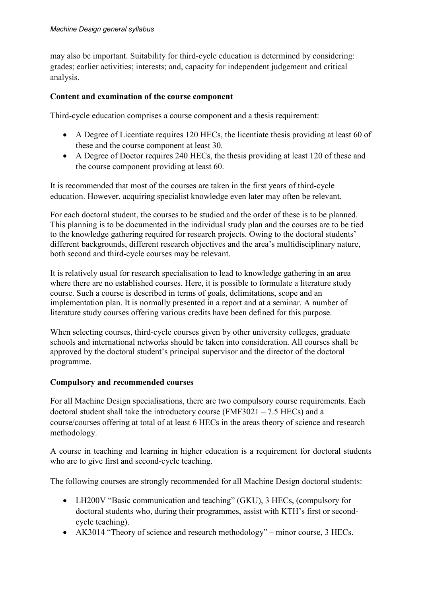may also be important. Suitability for third-cycle education is determined by considering: grades; earlier activities; interests; and, capacity for independent judgement and critical analysis.

#### **Content and examination of the course component**

Third-cycle education comprises a course component and a thesis requirement:

- A Degree of Licentiate requires 120 HECs, the licentiate thesis providing at least 60 of these and the course component at least 30.
- A Degree of Doctor requires 240 HECs, the thesis providing at least 120 of these and the course component providing at least 60.

It is recommended that most of the courses are taken in the first years of third-cycle education. However, acquiring specialist knowledge even later may often be relevant.

For each doctoral student, the courses to be studied and the order of these is to be planned. This planning is to be documented in the individual study plan and the courses are to be tied to the knowledge gathering required for research projects. Owing to the doctoral students' different backgrounds, different research objectives and the area's multidisciplinary nature, both second and third-cycle courses may be relevant.

It is relatively usual for research specialisation to lead to knowledge gathering in an area where there are no established courses. Here, it is possible to formulate a literature study course. Such a course is described in terms of goals, delimitations, scope and an implementation plan. It is normally presented in a report and at a seminar. A number of literature study courses offering various credits have been defined for this purpose.

When selecting courses, third-cycle courses given by other university colleges, graduate schools and international networks should be taken into consideration. All courses shall be approved by the doctoral student's principal supervisor and the director of the doctoral programme.

#### **Compulsory and recommended courses**

For all Machine Design specialisations, there are two compulsory course requirements. Each doctoral student shall take the introductory course (FMF3021 – 7.5 HECs) and a course/courses offering at total of at least 6 HECs in the areas theory of science and research methodology.

A course in teaching and learning in higher education is a requirement for doctoral students who are to give first and second-cycle teaching.

The following courses are strongly recommended for all Machine Design doctoral students:

- LH200V "Basic communication and teaching" (GKU), 3 HECs, (compulsory for doctoral students who, during their programmes, assist with KTH's first or secondcycle teaching).
- AK3014 "Theory of science and research methodology" minor course, 3 HECs.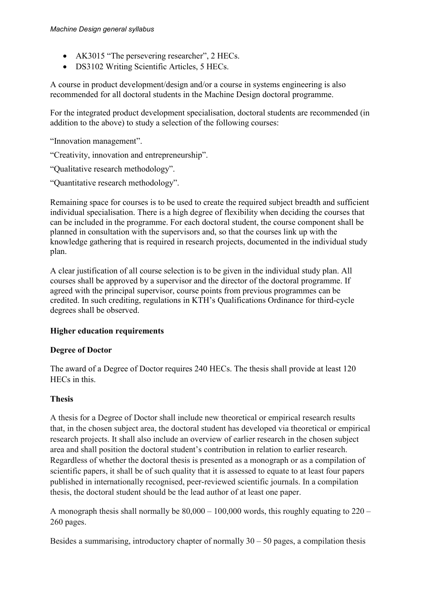- AK3015 "The persevering researcher", 2 HECs.
- DS3102 Writing Scientific Articles, 5 HECs.

A course in product development/design and/or a course in systems engineering is also recommended for all doctoral students in the Machine Design doctoral programme.

For the integrated product development specialisation, doctoral students are recommended (in addition to the above) to study a selection of the following courses:

"Innovation management".

- "Creativity, innovation and entrepreneurship".
- "Qualitative research methodology".
- "Quantitative research methodology".

Remaining space for courses is to be used to create the required subject breadth and sufficient individual specialisation. There is a high degree of flexibility when deciding the courses that can be included in the programme. For each doctoral student, the course component shall be planned in consultation with the supervisors and, so that the courses link up with the knowledge gathering that is required in research projects, documented in the individual study plan.

A clear justification of all course selection is to be given in the individual study plan. All courses shall be approved by a supervisor and the director of the doctoral programme. If agreed with the principal supervisor, course points from previous programmes can be credited. In such crediting, regulations in KTH's Qualifications Ordinance for third-cycle degrees shall be observed.

## **Higher education requirements**

#### **Degree of Doctor**

The award of a Degree of Doctor requires 240 HECs. The thesis shall provide at least 120 HECs in this.

## **Thesis**

A thesis for a Degree of Doctor shall include new theoretical or empirical research results that, in the chosen subject area, the doctoral student has developed via theoretical or empirical research projects. It shall also include an overview of earlier research in the chosen subject area and shall position the doctoral student's contribution in relation to earlier research. Regardless of whether the doctoral thesis is presented as a monograph or as a compilation of scientific papers, it shall be of such quality that it is assessed to equate to at least four papers published in internationally recognised, peer-reviewed scientific journals. In a compilation thesis, the doctoral student should be the lead author of at least one paper.

A monograph thesis shall normally be  $80,000 - 100,000$  words, this roughly equating to  $220 -$ 260 pages.

Besides a summarising, introductory chapter of normally  $30 - 50$  pages, a compilation thesis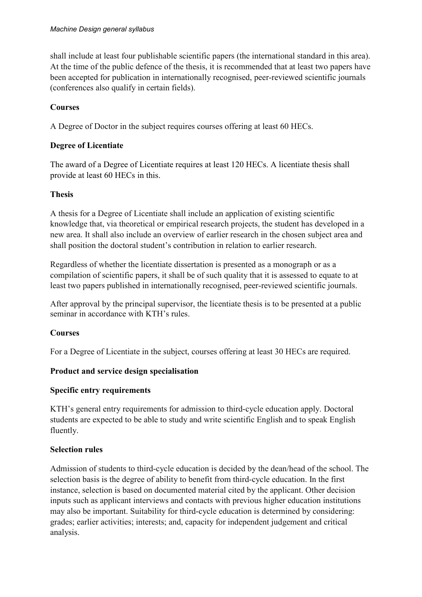shall include at least four publishable scientific papers (the international standard in this area). At the time of the public defence of the thesis, it is recommended that at least two papers have been accepted for publication in internationally recognised, peer-reviewed scientific journals (conferences also qualify in certain fields).

## **Courses**

A Degree of Doctor in the subject requires courses offering at least 60 HECs.

## **Degree of Licentiate**

The award of a Degree of Licentiate requires at least 120 HECs. A licentiate thesis shall provide at least 60 HECs in this.

## **Thesis**

A thesis for a Degree of Licentiate shall include an application of existing scientific knowledge that, via theoretical or empirical research projects, the student has developed in a new area. It shall also include an overview of earlier research in the chosen subject area and shall position the doctoral student's contribution in relation to earlier research.

Regardless of whether the licentiate dissertation is presented as a monograph or as a compilation of scientific papers, it shall be of such quality that it is assessed to equate to at least two papers published in internationally recognised, peer-reviewed scientific journals.

After approval by the principal supervisor, the licentiate thesis is to be presented at a public seminar in accordance with KTH's rules.

## **Courses**

For a Degree of Licentiate in the subject, courses offering at least 30 HECs are required.

## **Product and service design specialisation**

## **Specific entry requirements**

KTH's general entry requirements for admission to third-cycle education apply. Doctoral students are expected to be able to study and write scientific English and to speak English fluently.

## **Selection rules**

Admission of students to third-cycle education is decided by the dean/head of the school. The selection basis is the degree of ability to benefit from third-cycle education. In the first instance, selection is based on documented material cited by the applicant. Other decision inputs such as applicant interviews and contacts with previous higher education institutions may also be important. Suitability for third-cycle education is determined by considering: grades; earlier activities; interests; and, capacity for independent judgement and critical analysis.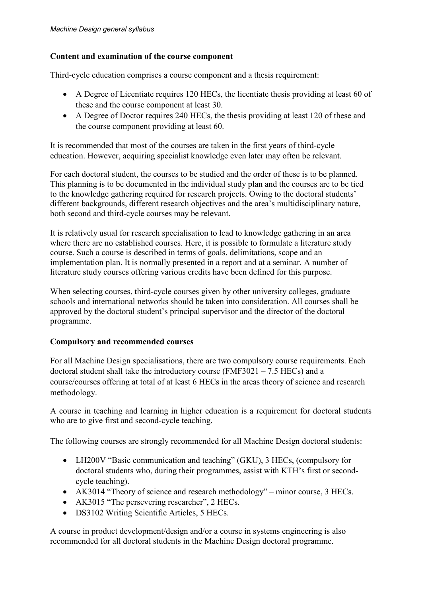## **Content and examination of the course component**

Third-cycle education comprises a course component and a thesis requirement:

- A Degree of Licentiate requires 120 HECs, the licentiate thesis providing at least 60 of these and the course component at least 30.
- A Degree of Doctor requires 240 HECs, the thesis providing at least 120 of these and the course component providing at least 60.

It is recommended that most of the courses are taken in the first years of third-cycle education. However, acquiring specialist knowledge even later may often be relevant.

For each doctoral student, the courses to be studied and the order of these is to be planned. This planning is to be documented in the individual study plan and the courses are to be tied to the knowledge gathering required for research projects. Owing to the doctoral students' different backgrounds, different research objectives and the area's multidisciplinary nature, both second and third-cycle courses may be relevant.

It is relatively usual for research specialisation to lead to knowledge gathering in an area where there are no established courses. Here, it is possible to formulate a literature study course. Such a course is described in terms of goals, delimitations, scope and an implementation plan. It is normally presented in a report and at a seminar. A number of literature study courses offering various credits have been defined for this purpose.

When selecting courses, third-cycle courses given by other university colleges, graduate schools and international networks should be taken into consideration. All courses shall be approved by the doctoral student's principal supervisor and the director of the doctoral programme.

## **Compulsory and recommended courses**

For all Machine Design specialisations, there are two compulsory course requirements. Each doctoral student shall take the introductory course (FMF3021 – 7.5 HECs) and a course/courses offering at total of at least 6 HECs in the areas theory of science and research methodology.

A course in teaching and learning in higher education is a requirement for doctoral students who are to give first and second-cycle teaching.

The following courses are strongly recommended for all Machine Design doctoral students:

- LH200V "Basic communication and teaching" (GKU), 3 HECs, (compulsory for doctoral students who, during their programmes, assist with KTH's first or secondcycle teaching).
- AK3014 "Theory of science and research methodology" minor course, 3 HECs.
- AK3015 "The persevering researcher", 2 HECs.
- DS3102 Writing Scientific Articles, 5 HECs.

A course in product development/design and/or a course in systems engineering is also recommended for all doctoral students in the Machine Design doctoral programme.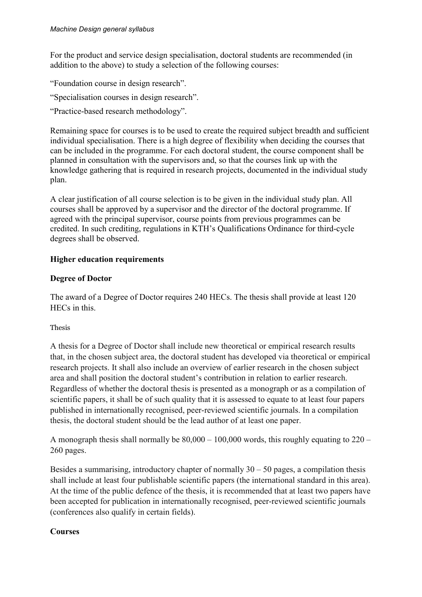For the product and service design specialisation, doctoral students are recommended (in addition to the above) to study a selection of the following courses:

"Foundation course in design research".

"Specialisation courses in design research".

"Practice-based research methodology".

Remaining space for courses is to be used to create the required subject breadth and sufficient individual specialisation. There is a high degree of flexibility when deciding the courses that can be included in the programme. For each doctoral student, the course component shall be planned in consultation with the supervisors and, so that the courses link up with the knowledge gathering that is required in research projects, documented in the individual study plan.

A clear justification of all course selection is to be given in the individual study plan. All courses shall be approved by a supervisor and the director of the doctoral programme. If agreed with the principal supervisor, course points from previous programmes can be credited. In such crediting, regulations in KTH's Qualifications Ordinance for third-cycle degrees shall be observed.

#### **Higher education requirements**

#### **Degree of Doctor**

The award of a Degree of Doctor requires 240 HECs. The thesis shall provide at least 120 HECs in this.

#### Thesis

A thesis for a Degree of Doctor shall include new theoretical or empirical research results that, in the chosen subject area, the doctoral student has developed via theoretical or empirical research projects. It shall also include an overview of earlier research in the chosen subject area and shall position the doctoral student's contribution in relation to earlier research. Regardless of whether the doctoral thesis is presented as a monograph or as a compilation of scientific papers, it shall be of such quality that it is assessed to equate to at least four papers published in internationally recognised, peer-reviewed scientific journals. In a compilation thesis, the doctoral student should be the lead author of at least one paper.

A monograph thesis shall normally be  $80,000 - 100,000$  words, this roughly equating to  $220 -$ 260 pages.

Besides a summarising, introductory chapter of normally  $30 - 50$  pages, a compilation thesis shall include at least four publishable scientific papers (the international standard in this area). At the time of the public defence of the thesis, it is recommended that at least two papers have been accepted for publication in internationally recognised, peer-reviewed scientific journals (conferences also qualify in certain fields).

#### **Courses**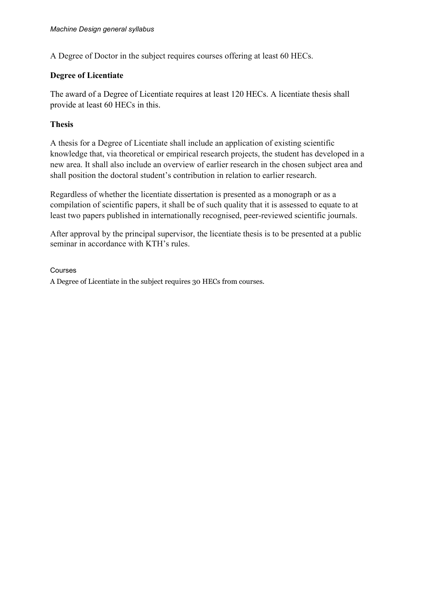A Degree of Doctor in the subject requires courses offering at least 60 HECs.

#### **Degree of Licentiate**

The award of a Degree of Licentiate requires at least 120 HECs. A licentiate thesis shall provide at least 60 HECs in this.

#### **Thesis**

A thesis for a Degree of Licentiate shall include an application of existing scientific knowledge that, via theoretical or empirical research projects, the student has developed in a new area. It shall also include an overview of earlier research in the chosen subject area and shall position the doctoral student's contribution in relation to earlier research.

Regardless of whether the licentiate dissertation is presented as a monograph or as a compilation of scientific papers, it shall be of such quality that it is assessed to equate to at least two papers published in internationally recognised, peer-reviewed scientific journals.

After approval by the principal supervisor, the licentiate thesis is to be presented at a public seminar in accordance with KTH's rules.

Courses A Degree of Licentiate in the subject requires 30 HECs from courses.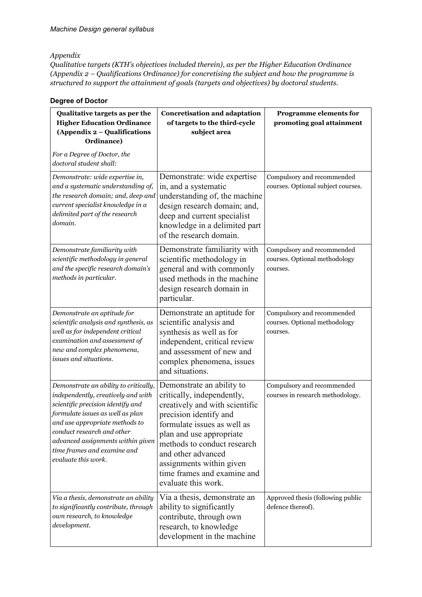#### *Appendix*

*Qualitative targets (KTH's objectives included therein), as per the Higher Education Ordinance (Appendix 2 – Qualifications Ordinance) for concretising the subject and how the programme is structured to support the attainment of goals (targets and objectives) by doctoral students.*

| Qualitative targets as per the<br><b>Higher Education Ordinance</b><br>(Appendix 2 - Qualifications<br>Ordinance)<br>For a Degree of Doctor, the                                                                                                                                                                | <b>Concretisation and adaptation</b><br>of targets to the third-cycle<br>subject area                                                                                                                                                                                                                                 | <b>Programme elements for</b><br>promoting goal attainment              |
|-----------------------------------------------------------------------------------------------------------------------------------------------------------------------------------------------------------------------------------------------------------------------------------------------------------------|-----------------------------------------------------------------------------------------------------------------------------------------------------------------------------------------------------------------------------------------------------------------------------------------------------------------------|-------------------------------------------------------------------------|
| doctoral student shall:<br>Demonstrate: wide expertise in,<br>and a systematic understanding of,<br>the research domain; and, deep and<br>current specialist knowledge in a<br>delimited part of the research<br>domain.                                                                                        | Demonstrate: wide expertise<br>in, and a systematic<br>understanding of, the machine<br>design research domain; and,<br>deep and current specialist<br>knowledge in a delimited part<br>of the research domain.                                                                                                       | Compulsory and recommended<br>courses. Optional subject courses.        |
| Demonstrate familiarity with<br>scientific methodology in general<br>and the specific research domain's<br>methods in particular.                                                                                                                                                                               | Demonstrate familiarity with<br>scientific methodology in<br>general and with commonly<br>used methods in the machine<br>design research domain in<br>particular.                                                                                                                                                     | Compulsory and recommended<br>courses. Optional methodology<br>courses. |
| Demonstrate an aptitude for<br>scientific analysis and synthesis, as<br>well as for independent critical<br>examination and assessment of<br>new and complex phenomena,<br>issues and situations.                                                                                                               | Demonstrate an aptitude for<br>scientific analysis and<br>synthesis as well as for<br>independent, critical review<br>and assessment of new and<br>complex phenomena, issues<br>and situations.                                                                                                                       | Compulsory and recommended<br>courses. Optional methodology<br>courses. |
| Demonstrate an ability to critically,<br>independently, creatively and with<br>scientific precision identify and<br>formulate issues as well as plan<br>and use appropriate methods to<br>conduct research and other<br>advanced assignments within given<br>time frames and examine and<br>evaluate this work. | Demonstrate an ability to<br>critically, independently,<br>creatively and with scientific<br>precision identify and<br>formulate issues as well as<br>plan and use appropriate<br>methods to conduct research<br>and other advanced<br>assignments within given<br>time frames and examine and<br>evaluate this work. | Compulsory and recommended<br>courses in research methodology.          |
| Via a thesis, demonstrate an ability<br>to significantly contribute, through<br>own research, to knowledge<br>development.                                                                                                                                                                                      | Via a thesis, demonstrate an<br>ability to significantly<br>contribute, through own<br>research, to knowledge<br>development in the machine                                                                                                                                                                           | Approved thesis (following public<br>defence thereof).                  |

#### **Degree of Doctor**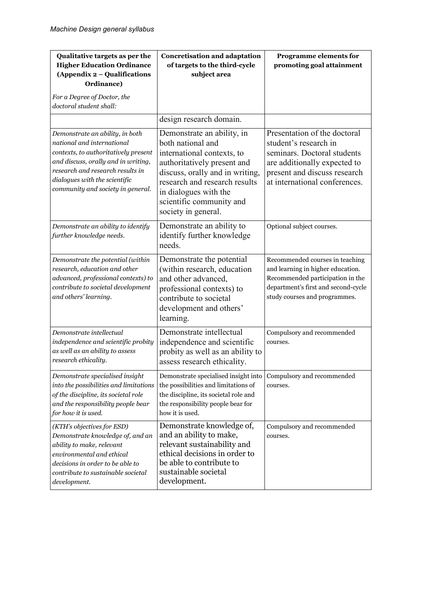| Qualitative targets as per the<br><b>Higher Education Ordinance</b><br>(Appendix 2 - Qualifications<br>Ordinance)                                                                                                                                      | <b>Concretisation and adaptation</b><br>of targets to the third-cycle<br>subject area                                                                                                                                                                        | <b>Programme elements for</b><br>promoting goal attainment                                                                                                                            |
|--------------------------------------------------------------------------------------------------------------------------------------------------------------------------------------------------------------------------------------------------------|--------------------------------------------------------------------------------------------------------------------------------------------------------------------------------------------------------------------------------------------------------------|---------------------------------------------------------------------------------------------------------------------------------------------------------------------------------------|
| For a Degree of Doctor, the<br>doctoral student shall:                                                                                                                                                                                                 |                                                                                                                                                                                                                                                              |                                                                                                                                                                                       |
|                                                                                                                                                                                                                                                        | design research domain.                                                                                                                                                                                                                                      |                                                                                                                                                                                       |
| Demonstrate an ability, in both<br>national and international<br>contexts, to authoritatively present<br>and discuss, orally and in writing,<br>research and research results in<br>dialogues with the scientific<br>community and society in general. | Demonstrate an ability, in<br>both national and<br>international contexts, to<br>authoritatively present and<br>discuss, orally and in writing,<br>research and research results<br>in dialogues with the<br>scientific community and<br>society in general. | Presentation of the doctoral<br>student's research in<br>seminars. Doctoral students<br>are additionally expected to<br>present and discuss research<br>at international conferences. |
| Demonstrate an ability to identify<br>further knowledge needs.                                                                                                                                                                                         | Demonstrate an ability to<br>identify further knowledge<br>needs.                                                                                                                                                                                            | Optional subject courses.                                                                                                                                                             |
| Demonstrate the potential (within<br>research, education and other<br>advanced, professional contexts) to<br>contribute to societal development<br>and others' learning.                                                                               | Demonstrate the potential<br>(within research, education<br>and other advanced,<br>professional contexts) to<br>contribute to societal<br>development and others'<br>learning.                                                                               | Recommended courses in teaching<br>and learning in higher education.<br>Recommended participation in the<br>department's first and second-cycle<br>study courses and programmes.      |
| Demonstrate intellectual<br>independence and scientific probity<br>as well as an ability to assess<br>research ethicality.                                                                                                                             | Demonstrate intellectual<br>independence and scientific<br>probity as well as an ability to<br>assess research ethicality.                                                                                                                                   | Compulsory and recommended<br>courses.                                                                                                                                                |
| Demonstrate specialised insight<br>into the possibilities and limitations<br>of the discipline, its societal role<br>and the responsibility people bear<br>for how it is used.                                                                         | Demonstrate specialised insight into<br>the possibilities and limitations of<br>the discipline, its societal role and<br>the responsibility people bear for<br>how it is used.                                                                               | Compulsory and recommended<br>courses.                                                                                                                                                |
| (KTH's objectives for ESD)<br>Demonstrate knowledge of, and an<br>ability to make, relevant<br>environmental and ethical<br>decisions in order to be able to<br>contribute to sustainable societal<br>development.                                     | Demonstrate knowledge of,<br>and an ability to make,<br>relevant sustainability and<br>ethical decisions in order to<br>be able to contribute to<br>sustainable societal<br>development.                                                                     | Compulsory and recommended<br>courses.                                                                                                                                                |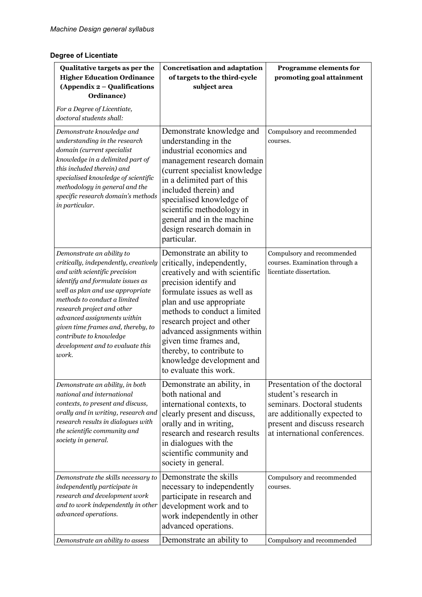## **Degree of Licentiate**

| Qualitative targets as per the<br><b>Higher Education Ordinance</b><br>(Appendix 2 – Qualifications<br>Ordinance)<br>For a Degree of Licentiate,                                                                                                                                                                                                                                       | <b>Concretisation and adaptation</b><br>of targets to the third-cycle<br>subject area                                                                                                                                                                                                                                                                                                     | Programme elements for<br>promoting goal attainment                                                                                                                                   |
|----------------------------------------------------------------------------------------------------------------------------------------------------------------------------------------------------------------------------------------------------------------------------------------------------------------------------------------------------------------------------------------|-------------------------------------------------------------------------------------------------------------------------------------------------------------------------------------------------------------------------------------------------------------------------------------------------------------------------------------------------------------------------------------------|---------------------------------------------------------------------------------------------------------------------------------------------------------------------------------------|
| doctoral students shall:                                                                                                                                                                                                                                                                                                                                                               |                                                                                                                                                                                                                                                                                                                                                                                           |                                                                                                                                                                                       |
| Demonstrate knowledge and<br>understanding in the research<br>domain (current specialist<br>knowledge in a delimited part of<br>this included therein) and<br>specialised knowledge of scientific<br>methodology in general and the<br>specific research domain's methods<br>in particular.                                                                                            | Demonstrate knowledge and<br>understanding in the<br>industrial economics and<br>management research domain<br>(current specialist knowledge)<br>in a delimited part of this<br>included therein) and<br>specialised knowledge of<br>scientific methodology in<br>general and in the machine<br>design research domain in<br>particular.                                                  | Compulsory and recommended<br>courses.                                                                                                                                                |
| Demonstrate an ability to<br>critically, independently, creatively<br>and with scientific precision<br>identify and formulate issues as<br>well as plan and use appropriate<br>methods to conduct a limited<br>research project and other<br>advanced assignments within<br>given time frames and, thereby, to<br>contribute to knowledge<br>development and to evaluate this<br>work. | Demonstrate an ability to<br>critically, independently,<br>creatively and with scientific<br>precision identify and<br>formulate issues as well as<br>plan and use appropriate<br>methods to conduct a limited<br>research project and other<br>advanced assignments within<br>given time frames and,<br>thereby, to contribute to<br>knowledge development and<br>to evaluate this work. | Compulsory and recommended<br>courses. Examination through a<br>licentiate dissertation.                                                                                              |
| Demonstrate an ability, in both<br>national and international<br>contexts, to present and discuss,<br>orally and in writing, research and<br>research results in dialogues with<br>the scientific community and<br>society in general.                                                                                                                                                 | Demonstrate an ability, in<br>both national and<br>international contexts, to<br>clearly present and discuss,<br>orally and in writing,<br>research and research results<br>in dialogues with the<br>scientific community and<br>society in general.                                                                                                                                      | Presentation of the doctoral<br>student's research in<br>seminars. Doctoral students<br>are additionally expected to<br>present and discuss research<br>at international conferences. |
| Demonstrate the skills necessary to<br>independently participate in<br>research and development work<br>and to work independently in other<br>advanced operations.                                                                                                                                                                                                                     | Demonstrate the skills<br>necessary to independently<br>participate in research and<br>development work and to<br>work independently in other<br>advanced operations.                                                                                                                                                                                                                     | Compulsory and recommended<br>courses.                                                                                                                                                |
| Demonstrate an ability to assess                                                                                                                                                                                                                                                                                                                                                       | Demonstrate an ability to                                                                                                                                                                                                                                                                                                                                                                 | Compulsory and recommended                                                                                                                                                            |